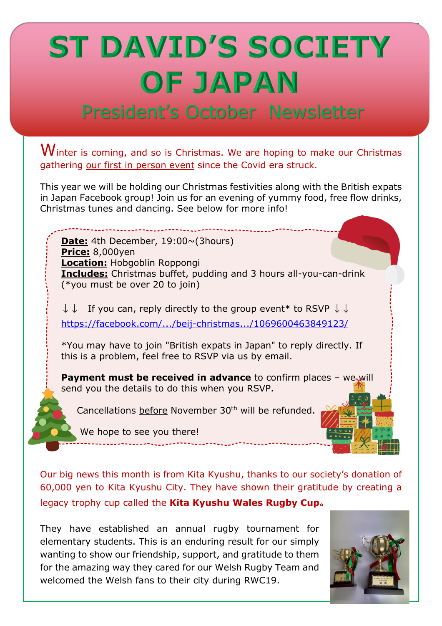# **ST DAVID'S SOCIETY** OF JAPAN

## President's October Newsletter

 $W$ inter is coming, and so is Christmas. We are hoping to make our Christmas gathering our first in person event since the Covid era struck.

This year we will be holding our Christmas festivities along with the British expats in Japan Facebook group! Join us for an evening of yummy food, free flow drinks, Christmas tunes and dancing. See below for more info!

**Date:** 4th December, 19:00~(3hours) **Price:** 8,000yen **Location:** Hobgoblin Roppongi **Includes:** Christmas buffet, pudding and 3 hours all-you-can-drink (\*you must be over 20 to join)

 $\downarrow \downarrow$  If you can, reply directly to the group event\* to RSVP  $\downarrow \downarrow$ https://facebook.com/.../beij-christmas.../1069600463849123/

\*You may have to join "British expats in Japan" to reply directly. If this is a problem, feel free to RSVP via us by email.

**Payment must be received in advance** to confirm places - we will send you the details to do this when you RSVP.

Cancellations before November 30<sup>th</sup> will be refunded.

We hope to see you there!

Our big news this month is from Kita Kyushu, thanks to our society's donation of 60,000 yen to Kita Kyushu City. They have shown their gratitude by creating a legacy trophy cup called the **Kita Kyushu Wales Rugby Cup。**

They have established an annual rugby tournament for elementary students. This is an enduring result for our simply wanting to show our friendship, support, and gratitude to them for the amazing way they cared for our Welsh Rugby Team and welcomed the Welsh fans to their city during RWC19.

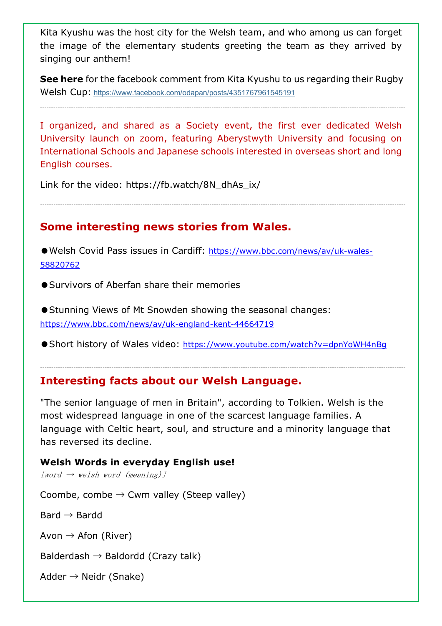Kita Kyushu was the host city for the Welsh team, and who among us can forget the image of the elementary students greeting the team as they arrived by singing our anthem!

**See here** for the facebook comment from Kita Kyushu to us regarding their Rugby Welsh Cup: https://www.facebook.com/odapan/posts/4351767961545191

I organized, and shared as a Society event, the first ever dedicated Welsh University launch on zoom, featuring Aberystwyth University and focusing on International Schools and Japanese schools interested in overseas short and long English courses.

Link for the video: https://fb.watch/8N\_dhAs\_ix/

### **Some interesting news stories from Wales.**

●Welsh Covid Pass issues in Cardiff: https://www.bbc.com/news/av/uk-wales-58820762

●Survivors of Aberfan share their memories

● Stunning Views of Mt Snowden showing the seasonal changes: https://www.bbc.com/news/av/uk-england-kent-44664719

● Short history of Wales video: https://www.youtube.com/watch?v=dpnYoWH4nBg

### **Interesting facts about our Welsh Language.**

"The senior language of men in Britain", according to Tolkien. Welsh is the most widespread language in one of the scarcest language families. A language with Celtic heart, soul, and structure and a minority language that has reversed its decline.

**Welsh Words in everyday English use!**  $[word \rightarrow welsh word (meaning)]$ Coombe, combe  $\rightarrow$  Cwm valley (Steep valley) Bard  $\rightarrow$  Bardd Avon  $\rightarrow$  Afon (River) Balderdash  $\rightarrow$  Baldordd (Crazy talk) Adder  $\rightarrow$  Neidr (Snake)